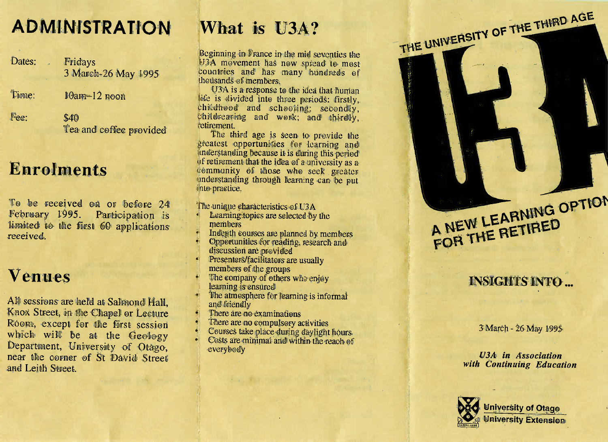# **ADMINISTRATION**

Dates: . Fridays 3March-26May 1995

 $\text{F}$ <sub>1444</sub> $\text{F}$ .  $\text{F}$  $\text{C}$ am $\text{T}$  12  $\text{H}$ 00

 $\frac{1}{2}$ ec.  $\frac{1}{2}$  $\ddot{q}$ Tea and coffee provided

n

## **Enrolments**

To be received or before 24 $\mathbf{y}$   $\mathbf{y}$  and  $\mathbf{y}$  and  $\mathbf{y}$  and  $\mathbf{y}$  and  $\mathbf{y}$  and  $\mathbf{y}$ n o $F$ e provar  $y$  **is**  $F$   $\alpha$  is  $F$   $\alpha$  is  $F$   $\alpha$  is  $F$  y 1995. Participatio limited to the first 60 applicationsreceived.

### **Venues**

All sessions are held at Salmond Hall, Knox Street, in the Chapel or Lecturere, cacept for the first session count, except for the rust sessie<br>which will be at the Geolog nwhich will be at the Geology artment. University of Otheo ear the corner of St David Street nd Lei Leith Street. an

# N **What is U3A?**

 Beginning in France in the mid seventies the U3A movement has nod to mostcountries and has many hundreds of thousands of members.

 $U_{3}$ A is a response to the idea that humar USA is a response to the faca that numan<br>ife is divided into three periods: firstly, bhildhood and schooling; secondly, bhildrearing and work; and thirdly,retirement.

 The third age is seen to provide thegreatest opportunities for learning and g an understanding because it is during this periodof retirement that the idea of a university as a y as a community of those who seek greater understanding through learning can be putinto practice.

The unique characteristics of  $\cup 3A$ 

- re unique characteristics of U3A<br> **Learning topics are selected by the** members
- **Example 20** Indepth courses are planned by members
- Opportunities for reading, research anddiscussion are provided
- enseussien ale provided<br>Presenters/facilitators are usually members of the groups
- The company of others who enjoy e compan learning is ensured
- Fine almosphere for learning is informal a michal<sup>)</sup>
- There are no examinations
- There are no compulsory activities
- Courses take place during daylight hours
- $\sim$  Costs are minimal and within the reach of verybouy



THE UNIVERSITY OF THE THIRD AGE

### **INSIGHTS INTO...**

March - 26 May 1995

*U3A in Associationwith Continuing Education*